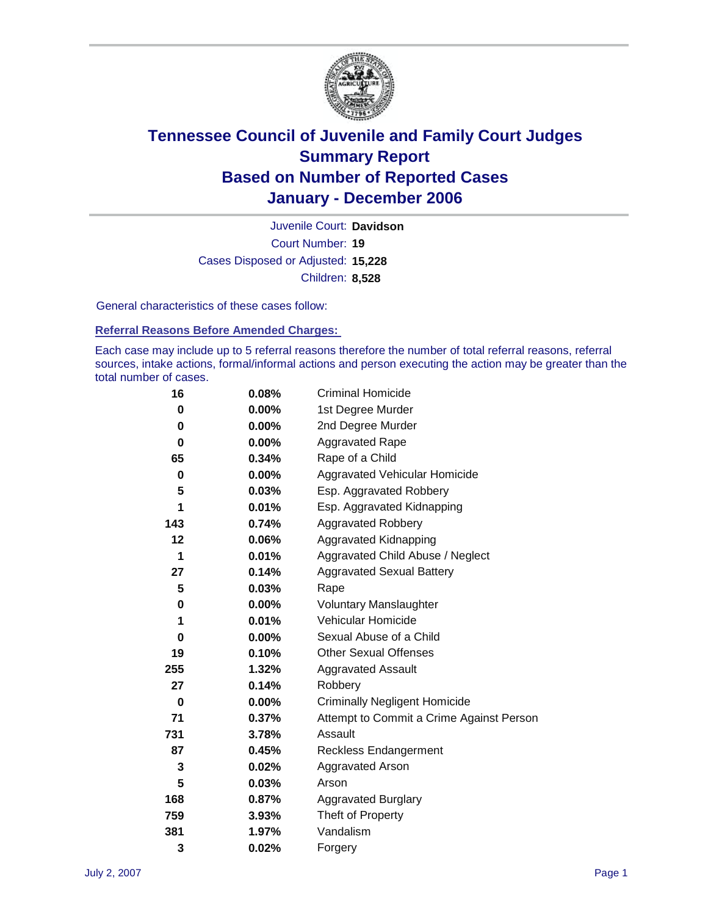

Court Number: **19** Juvenile Court: **Davidson** Cases Disposed or Adjusted: **15,228** Children: **8,528**

General characteristics of these cases follow:

#### **Referral Reasons Before Amended Charges:**

Each case may include up to 5 referral reasons therefore the number of total referral reasons, referral sources, intake actions, formal/informal actions and person executing the action may be greater than the total number of cases.

| 16  | 0.08%    | <b>Criminal Homicide</b>                 |
|-----|----------|------------------------------------------|
| 0   | $0.00\%$ | 1st Degree Murder                        |
| 0   | 0.00%    | 2nd Degree Murder                        |
| 0   | $0.00\%$ | <b>Aggravated Rape</b>                   |
| 65  | 0.34%    | Rape of a Child                          |
| 0   | $0.00\%$ | Aggravated Vehicular Homicide            |
| 5   | 0.03%    | Esp. Aggravated Robbery                  |
| 1   | 0.01%    | Esp. Aggravated Kidnapping               |
| 143 | 0.74%    | <b>Aggravated Robbery</b>                |
| 12  | 0.06%    | Aggravated Kidnapping                    |
| 1   | $0.01\%$ | Aggravated Child Abuse / Neglect         |
| 27  | 0.14%    | <b>Aggravated Sexual Battery</b>         |
| 5   | 0.03%    | Rape                                     |
| 0   | $0.00\%$ | <b>Voluntary Manslaughter</b>            |
| 1   | 0.01%    | <b>Vehicular Homicide</b>                |
| 0   | $0.00\%$ | Sexual Abuse of a Child                  |
| 19  | 0.10%    | <b>Other Sexual Offenses</b>             |
| 255 | 1.32%    | <b>Aggravated Assault</b>                |
| 27  | 0.14%    | Robbery                                  |
| 0   | $0.00\%$ | <b>Criminally Negligent Homicide</b>     |
| 71  | 0.37%    | Attempt to Commit a Crime Against Person |
| 731 | 3.78%    | Assault                                  |
| 87  | 0.45%    | <b>Reckless Endangerment</b>             |
| 3   | 0.02%    | <b>Aggravated Arson</b>                  |
| 5   | 0.03%    | Arson                                    |
| 168 | 0.87%    | <b>Aggravated Burglary</b>               |
| 759 | 3.93%    | Theft of Property                        |
| 381 | 1.97%    | Vandalism                                |
| 3   | 0.02%    | Forgery                                  |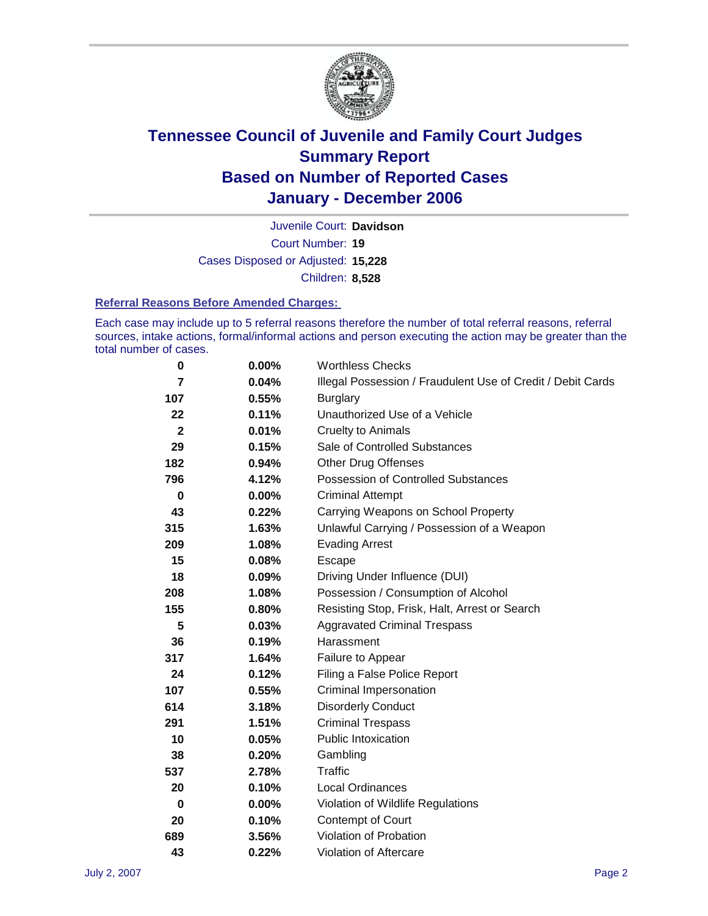

Court Number: **19** Juvenile Court: **Davidson** Cases Disposed or Adjusted: **15,228** Children: **8,528**

#### **Referral Reasons Before Amended Charges:**

Each case may include up to 5 referral reasons therefore the number of total referral reasons, referral sources, intake actions, formal/informal actions and person executing the action may be greater than the total number of cases.

| 0              | 0.00%    | <b>Worthless Checks</b>                                     |
|----------------|----------|-------------------------------------------------------------|
| 7              | 0.04%    | Illegal Possession / Fraudulent Use of Credit / Debit Cards |
| 107            | 0.55%    | <b>Burglary</b>                                             |
| 22             | 0.11%    | Unauthorized Use of a Vehicle                               |
| $\overline{2}$ | 0.01%    | <b>Cruelty to Animals</b>                                   |
| 29             | 0.15%    | Sale of Controlled Substances                               |
| 182            | 0.94%    | <b>Other Drug Offenses</b>                                  |
| 796            | 4.12%    | Possession of Controlled Substances                         |
| 0              | $0.00\%$ | <b>Criminal Attempt</b>                                     |
| 43             | 0.22%    | Carrying Weapons on School Property                         |
| 315            | 1.63%    | Unlawful Carrying / Possession of a Weapon                  |
| 209            | 1.08%    | <b>Evading Arrest</b>                                       |
| 15             | 0.08%    | Escape                                                      |
| 18             | 0.09%    | Driving Under Influence (DUI)                               |
| 208            | 1.08%    | Possession / Consumption of Alcohol                         |
| 155            | 0.80%    | Resisting Stop, Frisk, Halt, Arrest or Search               |
| 5              | 0.03%    | <b>Aggravated Criminal Trespass</b>                         |
| 36             | 0.19%    | Harassment                                                  |
| 317            | 1.64%    | Failure to Appear                                           |
| 24             | 0.12%    | Filing a False Police Report                                |
| 107            | 0.55%    | Criminal Impersonation                                      |
| 614            | 3.18%    | <b>Disorderly Conduct</b>                                   |
| 291            | 1.51%    | <b>Criminal Trespass</b>                                    |
| 10             | 0.05%    | Public Intoxication                                         |
| 38             | 0.20%    | Gambling                                                    |
| 537            | 2.78%    | Traffic                                                     |
| 20             | 0.10%    | <b>Local Ordinances</b>                                     |
| 0              | $0.00\%$ | Violation of Wildlife Regulations                           |
| 20             | 0.10%    | Contempt of Court                                           |
| 689            | 3.56%    | Violation of Probation                                      |
| 43             | 0.22%    | Violation of Aftercare                                      |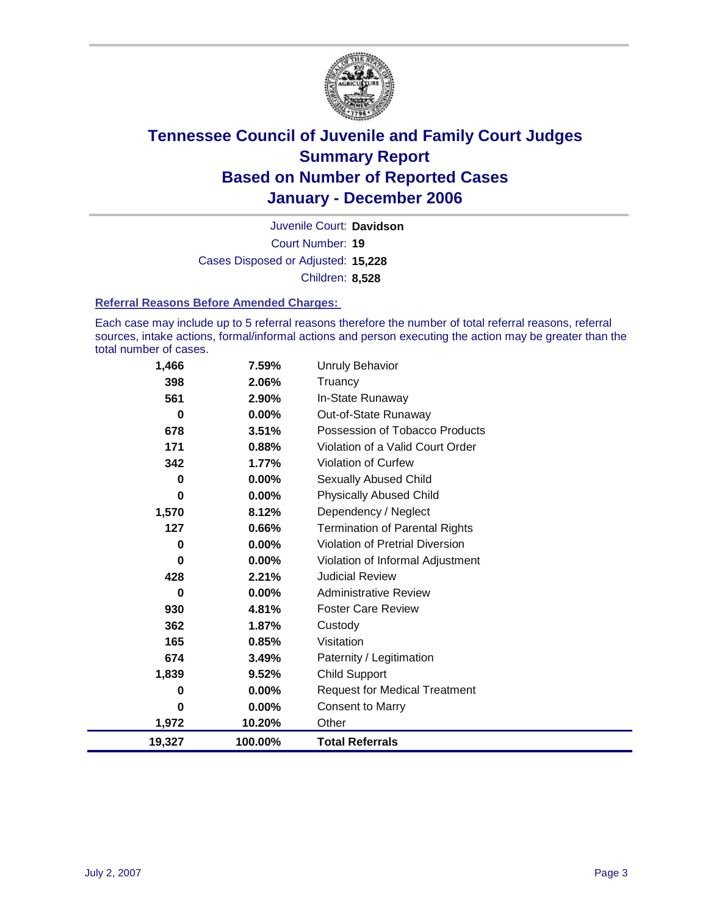

Court Number: **19** Juvenile Court: **Davidson** Cases Disposed or Adjusted: **15,228** Children: **8,528**

#### **Referral Reasons Before Amended Charges:**

Each case may include up to 5 referral reasons therefore the number of total referral reasons, referral sources, intake actions, formal/informal actions and person executing the action may be greater than the total number of cases.

| 1,466    | 7.59%    | <b>Unruly Behavior</b>                 |
|----------|----------|----------------------------------------|
| 398      | 2.06%    | Truancy                                |
| 561      | 2.90%    | In-State Runaway                       |
| 0        | 0.00%    | Out-of-State Runaway                   |
| 678      | 3.51%    | Possession of Tobacco Products         |
| 171      | 0.88%    | Violation of a Valid Court Order       |
| 342      | 1.77%    | <b>Violation of Curfew</b>             |
| 0        | $0.00\%$ | Sexually Abused Child                  |
| $\bf{0}$ | $0.00\%$ | <b>Physically Abused Child</b>         |
| 1,570    | 8.12%    | Dependency / Neglect                   |
| 127      | 0.66%    | <b>Termination of Parental Rights</b>  |
| $\bf{0}$ | $0.00\%$ | <b>Violation of Pretrial Diversion</b> |
| $\bf{0}$ | $0.00\%$ | Violation of Informal Adjustment       |
| 428      | 2.21%    | <b>Judicial Review</b>                 |
| $\bf{0}$ | 0.00%    | <b>Administrative Review</b>           |
| 930      | 4.81%    | <b>Foster Care Review</b>              |
| 362      | 1.87%    | Custody                                |
| 165      | 0.85%    | Visitation                             |
| 674      | 3.49%    | Paternity / Legitimation               |
| 1,839    | 9.52%    | <b>Child Support</b>                   |
| 0        | $0.00\%$ | <b>Request for Medical Treatment</b>   |
| 0        | $0.00\%$ | <b>Consent to Marry</b>                |
| 1,972    | 10.20%   | Other                                  |
| 19,327   | 100.00%  | <b>Total Referrals</b>                 |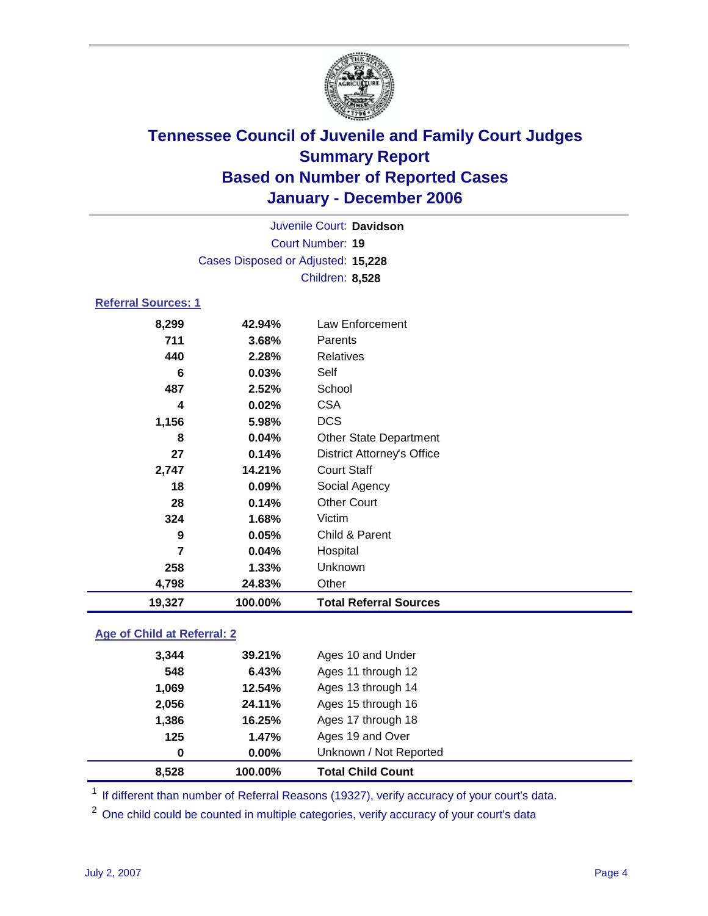

Court Number: **19** Juvenile Court: **Davidson** Cases Disposed or Adjusted: **15,228** Children: **8,528**

#### **Referral Sources: 1**

| 8,299  | 42.94%  | Law Enforcement                   |
|--------|---------|-----------------------------------|
| 711    | 3.68%   | Parents                           |
| 440    | 2.28%   | Relatives                         |
| 6      | 0.03%   | Self                              |
| 487    | 2.52%   | School                            |
| 4      | 0.02%   | <b>CSA</b>                        |
| 1,156  | 5.98%   | <b>DCS</b>                        |
| 8      | 0.04%   | <b>Other State Department</b>     |
| 27     | 0.14%   | <b>District Attorney's Office</b> |
| 2,747  | 14.21%  | <b>Court Staff</b>                |
| 18     | 0.09%   | Social Agency                     |
| 28     | 0.14%   | <b>Other Court</b>                |
| 324    | 1.68%   | Victim                            |
| 9      | 0.05%   | Child & Parent                    |
| 7      | 0.04%   | Hospital                          |
| 258    | 1.33%   | Unknown                           |
| 4,798  | 24.83%  | Other                             |
| 19,327 | 100.00% | <b>Total Referral Sources</b>     |

### **Age of Child at Referral: 2**

| 8.528    | 100.00%  | <b>Total Child Count</b> |  |
|----------|----------|--------------------------|--|
| $\bf{0}$ | $0.00\%$ | Unknown / Not Reported   |  |
| 125      | 1.47%    | Ages 19 and Over         |  |
| 1,386    | 16.25%   | Ages 17 through 18       |  |
| 2,056    | 24.11%   | Ages 15 through 16       |  |
| 1,069    | 12.54%   | Ages 13 through 14       |  |
| 548      | 6.43%    | Ages 11 through 12       |  |
| 3.344    | 39.21%   | Ages 10 and Under        |  |
|          |          |                          |  |

<sup>1</sup> If different than number of Referral Reasons (19327), verify accuracy of your court's data.

<sup>2</sup> One child could be counted in multiple categories, verify accuracy of your court's data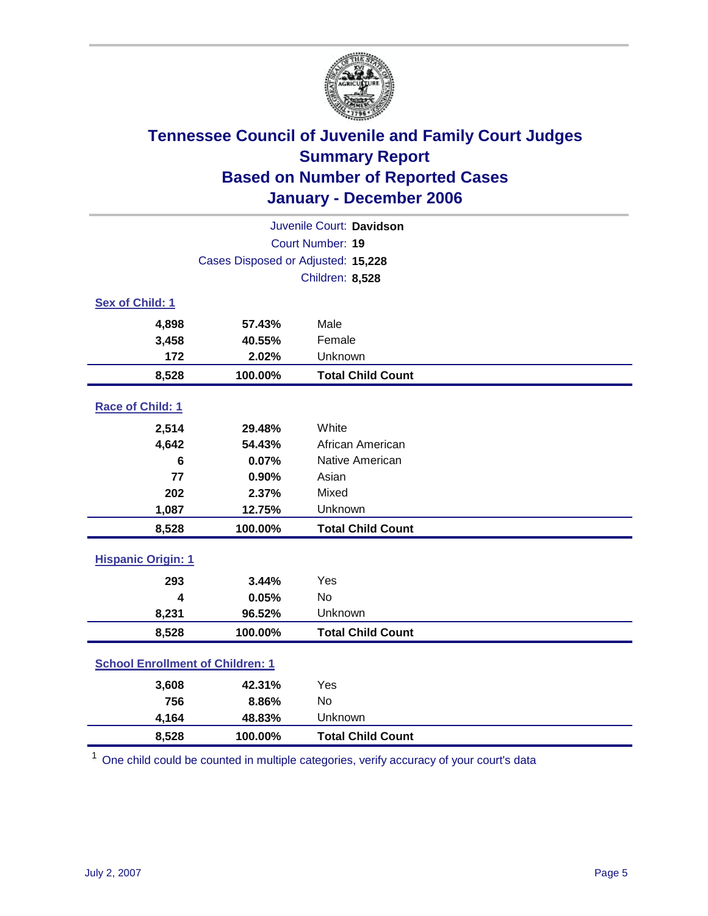

| Juvenile Court: Davidson                |         |                          |  |  |
|-----------------------------------------|---------|--------------------------|--|--|
| Court Number: 19                        |         |                          |  |  |
| Cases Disposed or Adjusted: 15,228      |         |                          |  |  |
|                                         |         | Children: 8,528          |  |  |
| Sex of Child: 1                         |         |                          |  |  |
| 4,898                                   | 57.43%  | Male                     |  |  |
| 3,458                                   | 40.55%  | Female                   |  |  |
| 172                                     | 2.02%   | Unknown                  |  |  |
| 8,528                                   | 100.00% | <b>Total Child Count</b> |  |  |
| Race of Child: 1                        |         |                          |  |  |
| 2,514                                   | 29.48%  | White                    |  |  |
| 4,642                                   | 54.43%  | African American         |  |  |
| $6\phantom{1}6$                         | 0.07%   | Native American          |  |  |
| 77                                      | 0.90%   | Asian                    |  |  |
| 202                                     | 2.37%   | Mixed                    |  |  |
| 1,087                                   | 12.75%  | Unknown                  |  |  |
| 8,528                                   | 100.00% | <b>Total Child Count</b> |  |  |
| <b>Hispanic Origin: 1</b>               |         |                          |  |  |
| 293                                     | 3.44%   | Yes                      |  |  |
| 4                                       | 0.05%   | <b>No</b>                |  |  |
| 8,231                                   | 96.52%  | Unknown                  |  |  |
| 8,528                                   | 100.00% | <b>Total Child Count</b> |  |  |
| <b>School Enrollment of Children: 1</b> |         |                          |  |  |
| 3,608                                   | 42.31%  | Yes                      |  |  |
| 756                                     | 8.86%   | No                       |  |  |
| 4,164                                   | 48.83%  | Unknown                  |  |  |
| 8,528                                   | 100.00% | <b>Total Child Count</b> |  |  |

<sup>1</sup> One child could be counted in multiple categories, verify accuracy of your court's data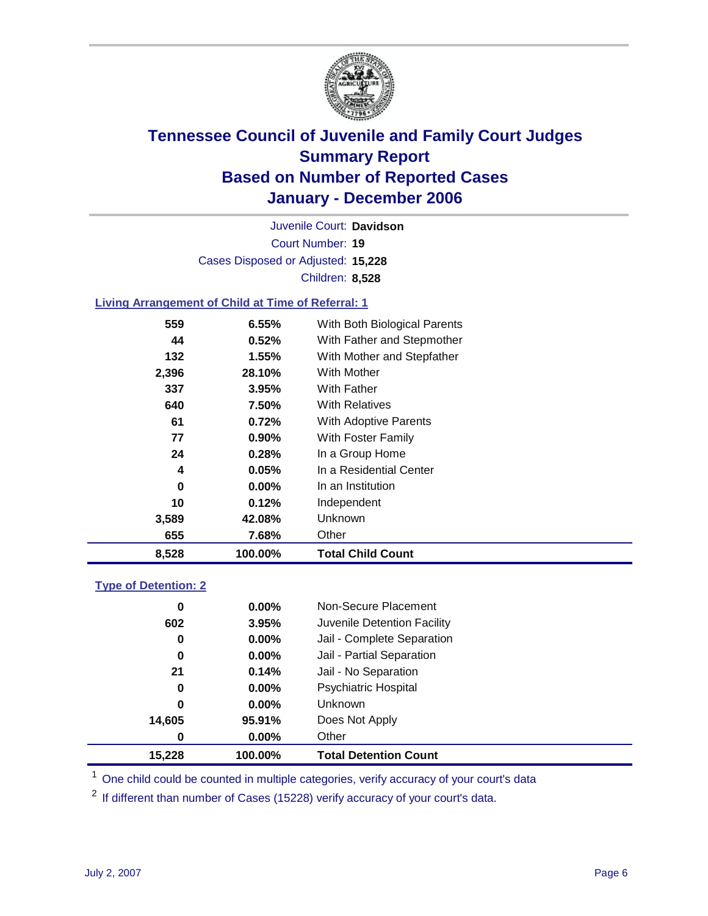

Court Number: **19** Juvenile Court: **Davidson** Cases Disposed or Adjusted: **15,228** Children: **8,528**

#### **Living Arrangement of Child at Time of Referral: 1**

| 8,528    | 100.00% | <b>Total Child Count</b>     |
|----------|---------|------------------------------|
| 655      | 7.68%   | Other                        |
| 3,589    | 42.08%  | <b>Unknown</b>               |
| 10       | 0.12%   | Independent                  |
| $\bf{0}$ | 0.00%   | In an Institution            |
| 4        | 0.05%   | In a Residential Center      |
| 24       | 0.28%   | In a Group Home              |
| 77       | 0.90%   | With Foster Family           |
| 61       | 0.72%   | With Adoptive Parents        |
| 640      | 7.50%   | <b>With Relatives</b>        |
| 337      | 3.95%   | With Father                  |
| 2,396    | 28.10%  | <b>With Mother</b>           |
| 132      | 1.55%   | With Mother and Stepfather   |
| 44       | 0.52%   | With Father and Stepmother   |
| 559      | 6.55%   | With Both Biological Parents |
|          |         |                              |

### **Type of Detention: 2**

| 15,228   | 100.00%  | <b>Total Detention Count</b> |
|----------|----------|------------------------------|
| 0        | 0.00%    | Other                        |
| 14,605   | 95.91%   | Does Not Apply               |
| 0        | $0.00\%$ | <b>Unknown</b>               |
| 0        | $0.00\%$ | <b>Psychiatric Hospital</b>  |
| 21       | 0.14%    | Jail - No Separation         |
| $\bf{0}$ | 0.00%    | Jail - Partial Separation    |
| 0        | $0.00\%$ | Jail - Complete Separation   |
| 602      | 3.95%    | Juvenile Detention Facility  |
| $\bf{0}$ | $0.00\%$ | Non-Secure Placement         |
|          |          |                              |

<sup>1</sup> One child could be counted in multiple categories, verify accuracy of your court's data

<sup>2</sup> If different than number of Cases (15228) verify accuracy of your court's data.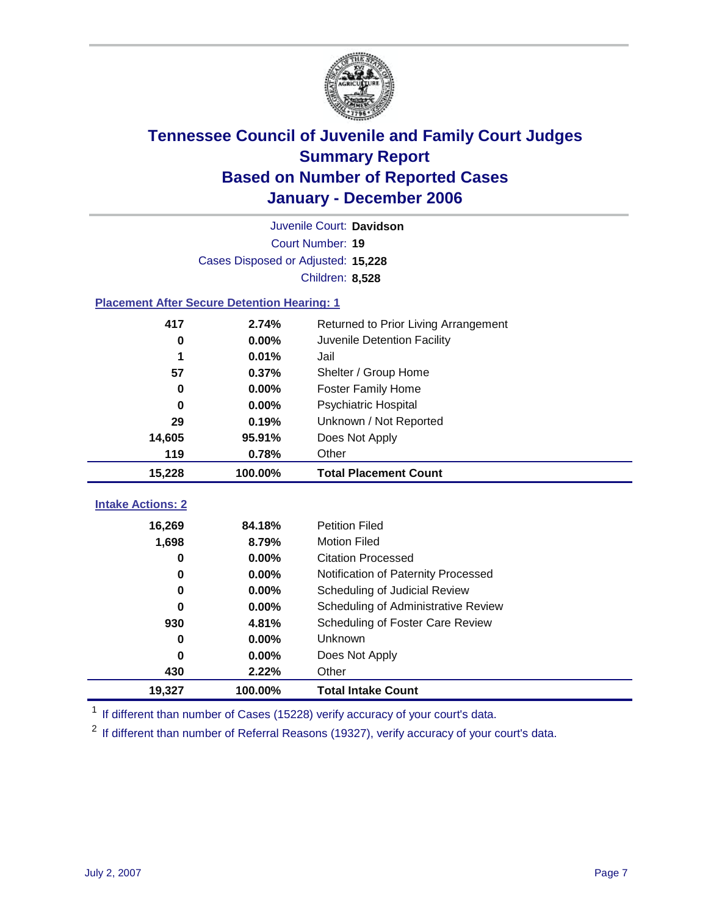

Court Number: **19** Juvenile Court: **Davidson** Cases Disposed or Adjusted: **15,228** Children: **8,528**

#### **Placement After Secure Detention Hearing: 1**

| 417                      | 2.74%    | Returned to Prior Living Arrangement |
|--------------------------|----------|--------------------------------------|
| 0                        | $0.00\%$ | Juvenile Detention Facility          |
| 1                        | 0.01%    | Jail                                 |
| 57                       | 0.37%    | Shelter / Group Home                 |
| 0                        | $0.00\%$ | <b>Foster Family Home</b>            |
| $\bf{0}$                 | $0.00\%$ | <b>Psychiatric Hospital</b>          |
| 29                       | 0.19%    | Unknown / Not Reported               |
| 14,605                   | 95.91%   | Does Not Apply                       |
|                          |          |                                      |
| 119                      | 0.78%    | Other                                |
| 15,228                   | 100.00%  | <b>Total Placement Count</b>         |
| <b>Intake Actions: 2</b> |          |                                      |
| 16,269                   | 84.18%   | <b>Petition Filed</b>                |
| 1,698                    | 8.79%    | <b>Motion Filed</b>                  |

| 19,327 | 100.00%  | <b>Total Intake Count</b>           |
|--------|----------|-------------------------------------|
| 430    | 2.22%    | Other                               |
| 0      | $0.00\%$ | Does Not Apply                      |
| 0      | $0.00\%$ | <b>Unknown</b>                      |
| 930    | 4.81%    | Scheduling of Foster Care Review    |
| 0      | $0.00\%$ | Scheduling of Administrative Review |
| 0      | $0.00\%$ | Scheduling of Judicial Review       |
| 0      | $0.00\%$ | Notification of Paternity Processed |
| 0      | $0.00\%$ | <b>Citation Processed</b>           |

<sup>1</sup> If different than number of Cases (15228) verify accuracy of your court's data.

<sup>2</sup> If different than number of Referral Reasons (19327), verify accuracy of your court's data.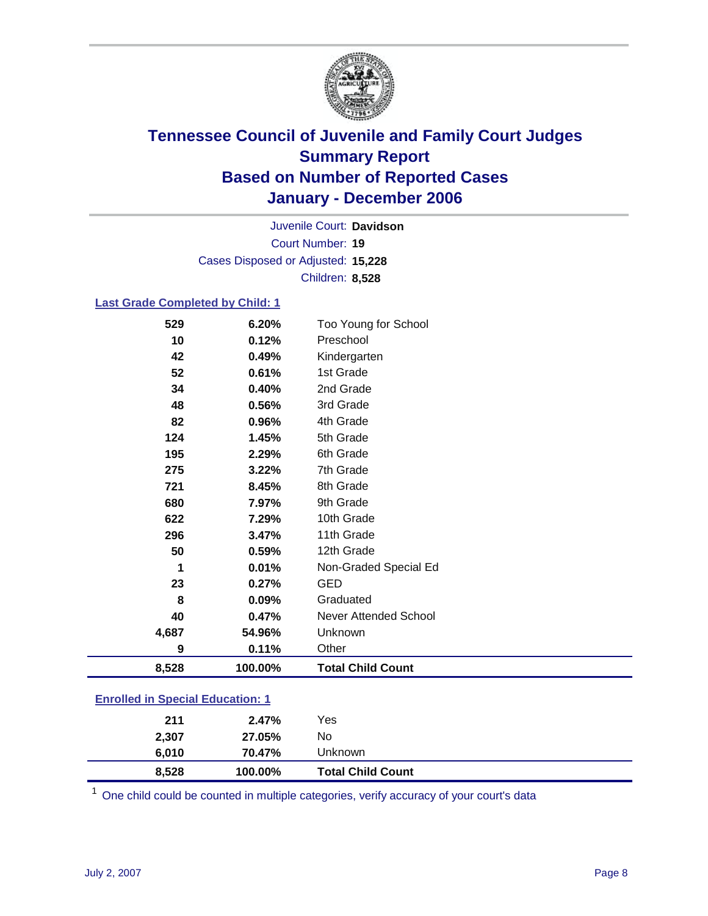

Court Number: **19** Juvenile Court: **Davidson** Cases Disposed or Adjusted: **15,228** Children: **8,528**

#### **Last Grade Completed by Child: 1**

| 8,528 | 100.00% | <b>Total Child Count</b>     |
|-------|---------|------------------------------|
| 9     | 0.11%   | Other                        |
| 4,687 | 54.96%  | Unknown                      |
| 40    | 0.47%   | <b>Never Attended School</b> |
| 8     | 0.09%   | Graduated                    |
| 23    | 0.27%   | <b>GED</b>                   |
| 1     | 0.01%   | Non-Graded Special Ed        |
| 50    | 0.59%   | 12th Grade                   |
| 296   | 3.47%   | 11th Grade                   |
| 622   | 7.29%   | 10th Grade                   |
| 680   | 7.97%   | 9th Grade                    |
| 721   | 8.45%   | 8th Grade                    |
| 275   | 3.22%   | 7th Grade                    |
| 195   | 2.29%   | 6th Grade                    |
| 124   | 1.45%   | 5th Grade                    |
| 82    | 0.96%   | 4th Grade                    |
| 48    | 0.56%   | 3rd Grade                    |
| 34    | 0.40%   | 2nd Grade                    |
| 52    | 0.61%   | 1st Grade                    |
| 42    | 0.49%   | Kindergarten                 |
| 10    | 0.12%   | Preschool                    |
| 529   | 6.20%   | Too Young for School         |

### **Enrolled in Special Education: 1**

| 8,528 | 100.00% | <b>Total Child Count</b> |  |
|-------|---------|--------------------------|--|
| 6.010 | 70.47%  | Unknown                  |  |
| 2,307 | 27.05%  | No                       |  |
| 211   | 2.47%   | Yes                      |  |
|       |         |                          |  |

<sup>1</sup> One child could be counted in multiple categories, verify accuracy of your court's data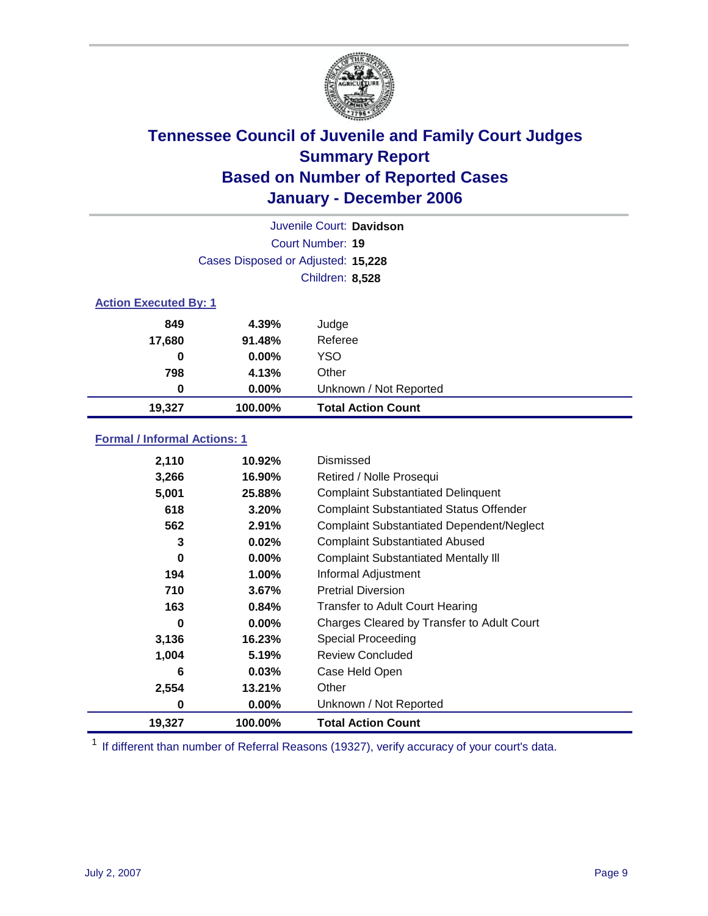

| Juvenile Court: Davidson            |          |                                                  |  |  |
|-------------------------------------|----------|--------------------------------------------------|--|--|
| Court Number: 19                    |          |                                                  |  |  |
| Cases Disposed or Adjusted: 15,228  |          |                                                  |  |  |
| Children: 8,528                     |          |                                                  |  |  |
|                                     |          |                                                  |  |  |
| <b>Action Executed By: 1</b>        |          |                                                  |  |  |
| 849                                 | 4.39%    | Judge                                            |  |  |
| 17,680                              | 91.48%   | Referee                                          |  |  |
| 0                                   | $0.00\%$ | <b>YSO</b>                                       |  |  |
| 798                                 | 4.13%    | Other                                            |  |  |
| 0                                   | 0.00%    | Unknown / Not Reported                           |  |  |
| 19,327                              | 100.00%  | <b>Total Action Count</b>                        |  |  |
|                                     |          |                                                  |  |  |
| <b>Formal / Informal Actions: 1</b> |          |                                                  |  |  |
| 2,110                               | 10.92%   | Dismissed                                        |  |  |
| 3,266                               | 16.90%   | Retired / Nolle Prosequi                         |  |  |
| 5,001                               | 25.88%   | <b>Complaint Substantiated Delinquent</b>        |  |  |
| 618                                 | 3.20%    | <b>Complaint Substantiated Status Offender</b>   |  |  |
| 562                                 | 2.91%    | <b>Complaint Substantiated Dependent/Neglect</b> |  |  |
| 3                                   | 0.02%    | <b>Complaint Substantiated Abused</b>            |  |  |
| 0                                   | 0.00%    | <b>Complaint Substantiated Mentally III</b>      |  |  |
| 194                                 | 1.00%    | Informal Adjustment                              |  |  |
| 710                                 | 3.67%    | <b>Pretrial Diversion</b>                        |  |  |
| 163                                 | 0.84%    | <b>Transfer to Adult Court Hearing</b>           |  |  |
| 0                                   | 0.00%    | Charges Cleared by Transfer to Adult Court       |  |  |
| 3,136                               | 16.23%   | <b>Special Proceeding</b>                        |  |  |
| 1,004                               | 5.19%    | <b>Review Concluded</b>                          |  |  |
| 6                                   | 0.03%    | Case Held Open                                   |  |  |
| 2,554                               | 13.21%   | Other                                            |  |  |
| 0                                   | $0.00\%$ | Unknown / Not Reported                           |  |  |
| 19,327                              | 100.00%  | <b>Total Action Count</b>                        |  |  |

 $1$  If different than number of Referral Reasons (19327), verify accuracy of your court's data.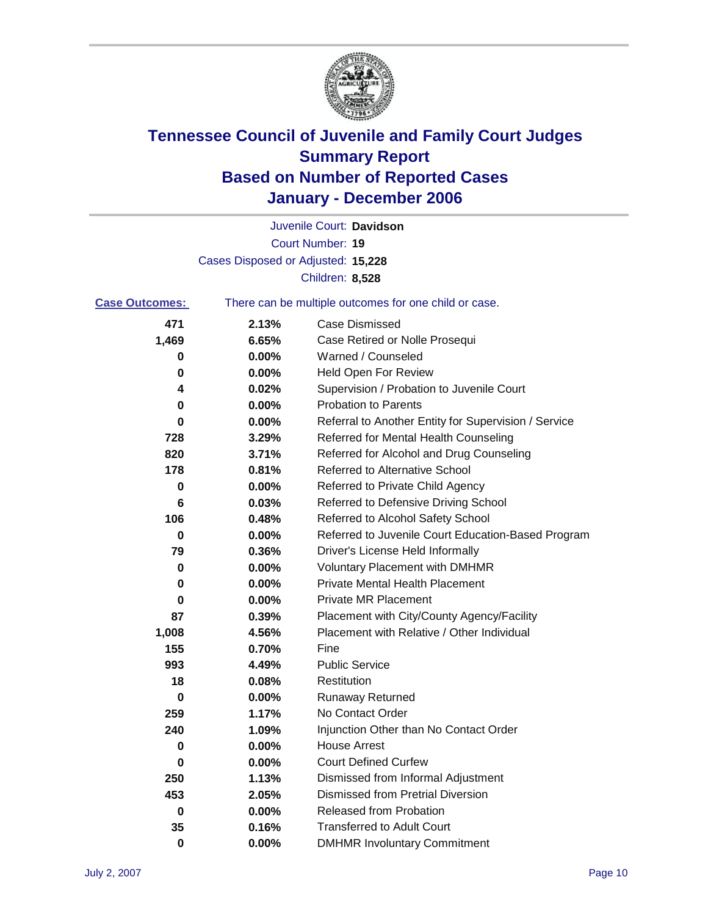

Court Number: **19** Juvenile Court: **Davidson** Cases Disposed or Adjusted: **15,228** Children: **8,528**

| <b>Case Outcomes:</b> | There can be multiple outcomes for one child or case. |                                                      |
|-----------------------|-------------------------------------------------------|------------------------------------------------------|
| 471                   | 2.13%                                                 | <b>Case Dismissed</b>                                |
| 1,469                 | 6.65%                                                 | Case Retired or Nolle Prosequi                       |
| 0                     | $0.00\%$                                              | Warned / Counseled                                   |
| 0                     | 0.00%                                                 | <b>Held Open For Review</b>                          |
| 4                     | 0.02%                                                 | Supervision / Probation to Juvenile Court            |
| 0                     | 0.00%                                                 | <b>Probation to Parents</b>                          |
| 0                     | $0.00\%$                                              | Referral to Another Entity for Supervision / Service |
| 728                   | 3.29%                                                 | Referred for Mental Health Counseling                |
| 820                   | 3.71%                                                 | Referred for Alcohol and Drug Counseling             |
| 178                   | 0.81%                                                 | <b>Referred to Alternative School</b>                |
| 0                     | $0.00\%$                                              | Referred to Private Child Agency                     |
| 6                     | 0.03%                                                 | Referred to Defensive Driving School                 |
| 106                   | 0.48%                                                 | Referred to Alcohol Safety School                    |
| 0                     | $0.00\%$                                              | Referred to Juvenile Court Education-Based Program   |
| 79                    | 0.36%                                                 | Driver's License Held Informally                     |
| 0                     | $0.00\%$                                              | <b>Voluntary Placement with DMHMR</b>                |
| 0                     | $0.00\%$                                              | <b>Private Mental Health Placement</b>               |
| 0                     | $0.00\%$                                              | <b>Private MR Placement</b>                          |
| 87                    | 0.39%                                                 | Placement with City/County Agency/Facility           |
| 1,008                 | 4.56%                                                 | Placement with Relative / Other Individual           |
| 155                   | 0.70%                                                 | Fine                                                 |
| 993                   | 4.49%                                                 | <b>Public Service</b>                                |
| 18                    | 0.08%                                                 | Restitution                                          |
| 0                     | $0.00\%$                                              | <b>Runaway Returned</b>                              |
| 259                   | 1.17%                                                 | No Contact Order                                     |
| 240                   | 1.09%                                                 | Injunction Other than No Contact Order               |
| $\mathbf 0$           | 0.00%                                                 | <b>House Arrest</b>                                  |
| 0                     | 0.00%                                                 | <b>Court Defined Curfew</b>                          |
| 250                   | 1.13%                                                 | Dismissed from Informal Adjustment                   |
| 453                   | 2.05%                                                 | Dismissed from Pretrial Diversion                    |
| 0                     | 0.00%                                                 | Released from Probation                              |
| 35                    | 0.16%                                                 | <b>Transferred to Adult Court</b>                    |
| 0                     | 0.00%                                                 | <b>DMHMR Involuntary Commitment</b>                  |